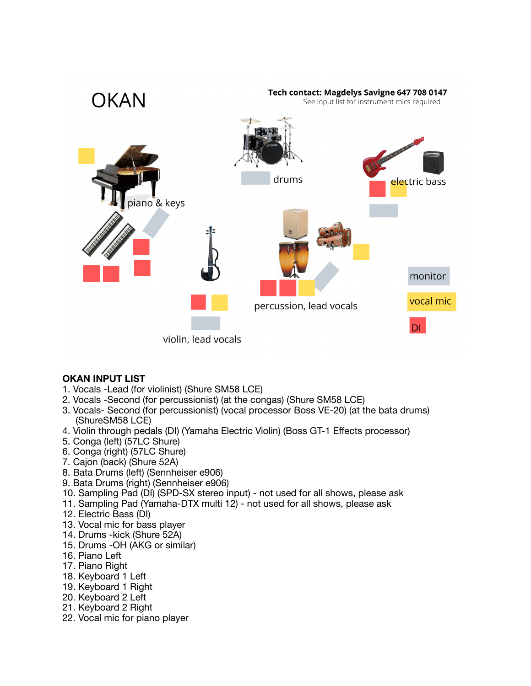

# **OKAN INPUT LIST**

- 1. Vocals -Lead (for violinist) (Shure SM58 LCE)
- 2. Vocals -Second (for percussionist) (at the congas) (Shure SM58 LCE)
- 3. Vocals- Second (for percussionist) (vocal processor Boss VE-20) (at the bata drums) (ShureSM58 LCE)
- 4. Violin through pedals (DI) (Yamaha Electric Violin) (Boss GT-1 Effects processor)
- 5. Conga (left) (57LC Shure)
- 6. Conga (right) (57LC Shure)
- 7. Cajon (back) (Shure 52A)
- 8. Bata Drums (left) (Sennheiser e906)
- 9. Bata Drums (right) (Sennheiser e906)
- 10. Sampling Pad (DI) (SPD-SX stereo input) not used for all shows, please ask
- 11. Sampling Pad (Yamaha-DTX multi 12) not used for all shows, please ask
- 12. Electric Bass (DI)
- 13. Vocal mic for bass player
- 14. Drums -kick (Shure 52A)
- 15. Drums -OH (AKG or similar)
- 16. Piano Left
- 17. Piano Right
- 18. Keyboard 1 Left
- 19. Keyboard 1 Right
- 20. Keyboard 2 Left
- 21. Keyboard 2 Right
- 22. Vocal mic for piano player